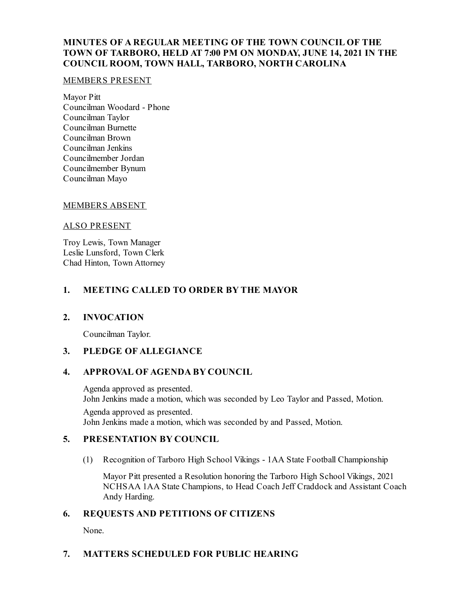# **MINUTES OF A REGULAR MEETING OF THE TOWN COUNCIL OF THE TOWN OF TARBORO, HELD AT 7:00 PM ON MONDAY, JUNE 14, 2021 IN THE COUNCIL ROOM, TOWN HALL, TARBORO, NORTH CAROLINA**

#### MEMBERS PRESENT

Mayor Pitt Councilman Woodard - Phone Councilman Taylor Councilman Burnette Councilman Brown Councilman Jenkins Councilmember Jordan Councilmember Bynum Councilman Mayo

# MEMBERS ABSENT

### ALSO PRESENT

Troy Lewis, Town Manager Leslie Lunsford, Town Clerk Chad Hinton, Town Attorney

# **1. MEETING CALLED TO ORDER BY THE MAYOR**

# **2. INVOCATION**

Councilman Taylor.

# **3. PLEDGE OF ALLEGIANCE**

# **4. APPROVAL OF AGENDA BY COUNCIL**

Agenda approved as presented. John Jenkins made a motion, which was seconded by Leo Taylor and Passed, Motion. Agenda approved as presented. John Jenkins made a motion, which was seconded by and Passed, Motion.

# **5. PRESENTATION BY COUNCIL**

(1) Recognition of Tarboro High School Vikings - 1AA State Football Championship

Mayor Pitt presented a Resolution honoring the Tarboro High School Vikings, 2021 NCHSAA 1AA State Champions, to Head Coach Jeff Craddock and Assistant Coach Andy Harding.

# **6. REQUESTS AND PETITIONS OF CITIZENS**

None.

# **7. MATTERS SCHEDULED FOR PUBLIC HEARING**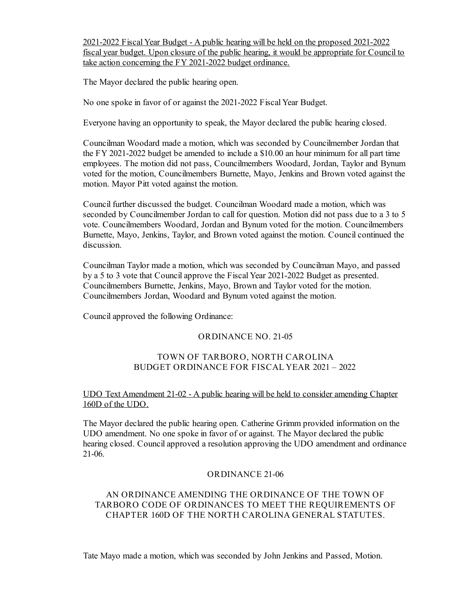2021-2022 FiscalYear Budget - A public hearing will be held on the proposed 2021-2022 fiscal year budget. Upon closure of the public hearing, it would be appropriate for Council to take action concerning the FY 2021-2022 budget ordinance.

The Mayor declared the public hearing open.

No one spoke in favor of or against the 2021-2022 Fiscal Year Budget.

Everyone having an opportunity to speak, the Mayor declared the public hearing closed.

Councilman Woodard made a motion, which was seconded by Councilmember Jordan that the FY 2021-2022 budget be amended to include a \$10.00 an hour minimum for all part time employees. The motion did not pass, Councilmembers Woodard, Jordan, Taylor and Bynum voted for the motion, Councilmembers Burnette, Mayo, Jenkins and Brown voted against the motion. Mayor Pitt voted against the motion.

Council further discussed the budget. Councilman Woodard made a motion, which was seconded by Councilmember Jordan to call for question. Motion did not pass due to a 3 to 5 vote. Councilmembers Woodard, Jordan and Bynum voted for the motion. Councilmembers Burnette, Mayo, Jenkins, Taylor, and Brown voted against the motion. Council continued the discussion.

Councilman Taylor made a motion, which was seconded by Councilman Mayo, and passed by a 5 to 3 vote that Council approve the Fiscal Year 2021-2022 Budget as presented. Councilmembers Burnette, Jenkins, Mayo, Brown and Taylor voted for the motion. Councilmembers Jordan, Woodard and Bynum voted against the motion.

Councilapproved the following Ordinance:

# ORDINANCE NO. 21-05

### TOWN OF TARBORO, NORTH CAROLINA BUDGET ORDINANCE FOR FISCAL YEAR 2021 – 2022

### UDO Text Amendment 21-02 - A public hearing will be held to consider amending Chapter 160D of the UDO.

The Mayor declared the public hearing open. Catherine Grimm provided information on the UDO amendment. No one spoke in favor of or against. The Mayor declared the public hearing closed. Councilapproved a resolution approving the UDO amendment and ordinance 21-06.

#### ORDINANCE 21-06

# AN ORDINANCE AMENDING THE ORDINANCE OF THE TOWN OF TARBORO CODE OF ORDINANCES TO MEET THE REQUIREMENTS OF CHAPTER 160D OF THE NORTH CAROLINA GENERAL STATUTES.

Tate Mayo made a motion, which was seconded by John Jenkins and Passed, Motion.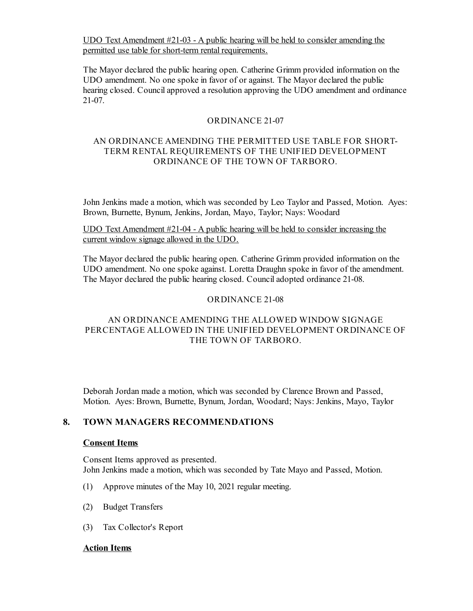UDO Text Amendment #21-03 - A public hearing will be held to consider amending the permitted use table for short-term rental requirements.

The Mayor declared the public hearing open. Catherine Grimm provided information on the UDO amendment. No one spoke in favor of or against. The Mayor declared the public hearing closed. Council approved a resolution approving the UDO amendment and ordinance 21-07.

### ORDINANCE 21-07

# AN ORDINANCE AMENDING THE PERMITTED USE TABLE FOR SHORT-TERM RENTAL REQUIREMENTS OF THE UNIFIED DEVELOPMENT ORDINANCE OF THE TOWN OF TARBORO.

John Jenkins made a motion, which was seconded by Leo Taylor and Passed, Motion. Ayes: Brown, Burnette, Bynum, Jenkins, Jordan, Mayo, Taylor; Nays: Woodard

UDO Text Amendment #21-04 - A public hearing will be held to consider increasing the current window signage allowed in the UDO.

The Mayor declared the public hearing open. Catherine Grimm provided information on the UDO amendment. No one spoke against. Loretta Draughn spoke in favor of the amendment. The Mayor declared the public hearing closed. Counciladopted ordinance 21-08.

#### ORDINANCE 21-08

### AN ORDINANCE AMENDING THE ALLOWED WINDOW SIGNAGE PERCENTAGE ALLOWED IN THE UNIFIED DEVELOPMENT ORDINANCE OF THE TOWN OF TARBORO.

Deborah Jordan made a motion, which was seconded by Clarence Brown and Passed, Motion. Ayes: Brown, Burnette, Bynum, Jordan, Woodard; Nays: Jenkins, Mayo, Taylor

#### **8. TOWN MANAGERS RECOMMENDATIONS**

#### **Consent Items**

Consent Items approved as presented. John Jenkins made a motion, which was seconded by Tate Mayo and Passed, Motion.

- (1) Approve minutes of the May 10, 2021 regular meeting.
- (2) Budget Transfers
- (3) Tax Collector's Report

#### **Action Items**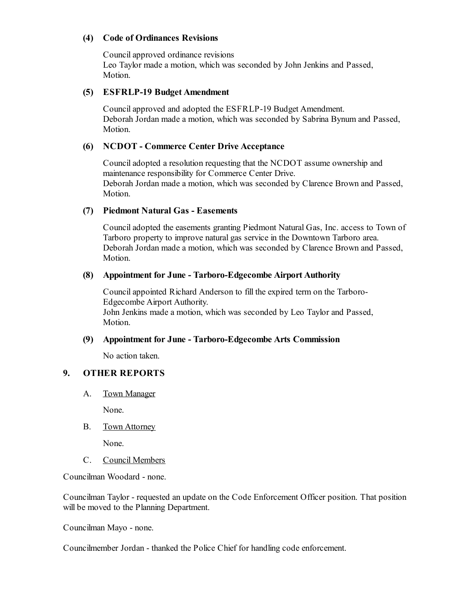# **(4) Code of Ordinances Revisions**

Councilapproved ordinance revisions Leo Taylor made a motion, which was seconded by John Jenkins and Passed, Motion.

### **(5) ESFRLP-19 Budget Amendment**

Councilapproved and adopted the ESFRLP-19 Budget Amendment. Deborah Jordan made a motion, which was seconded by Sabrina Bynum and Passed, Motion.

### **(6) NCDOT - Commerce Center Drive Acceptance**

Counciladopted a resolution requesting that the NCDOT assume ownership and maintenance responsibility for Commerce Center Drive. Deborah Jordan made a motion, which was seconded by Clarence Brown and Passed, Motion.

### **(7) Piedmont Natural Gas - Easements**

Counciladopted the easements granting Piedmont Natural Gas, Inc. access to Town of Tarboro property to improve natural gas service in the Downtown Tarboro area. Deborah Jordan made a motion, which was seconded by Clarence Brown and Passed, Motion.

#### **(8) Appointment for June - Tarboro-Edgecombe Airport Authority**

Councilappointed Richard Anderson to fill the expired term on the Tarboro-Edgecombe Airport Authority. John Jenkins made a motion, which was seconded by Leo Taylor and Passed, Motion.

#### **(9) Appointment for June - Tarboro-Edgecombe Arts Commission**

No action taken.

# **9. OTHER REPORTS**

A. Town Manager

None.

B. Town Attorney

None.

C. Council Members

Councilman Woodard - none.

Councilman Taylor - requested an update on the Code Enforcement Officer position. That position will be moved to the Planning Department.

Councilman Mayo - none.

Councilmember Jordan - thanked the Police Chief for handling code enforcement.